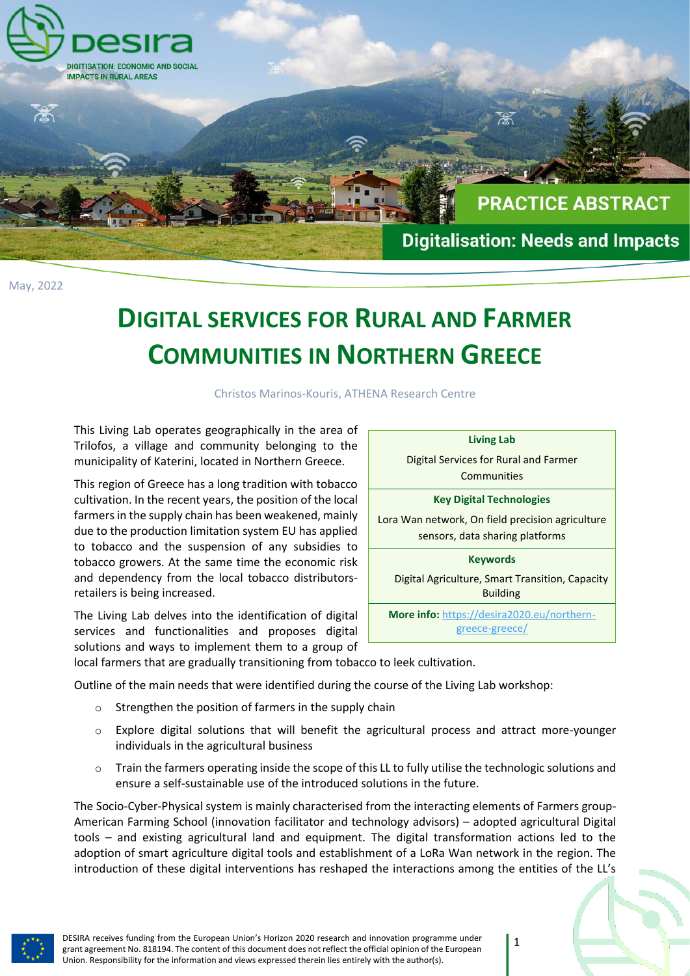

## **DIGITAL SERVICES FOR RURAL AND FARMER COMMUNITIES IN NORTHERN GREECE**

Christos Marinos-Kouris, ATHENA Research Centre

This Living Lab operates geographically in the area of Trilofos, a village and community belonging to the municipality of Katerini, located in Northern Greece.

This region of Greece has a long tradition with tobacco cultivation. In the recent years, the position of the local farmers in the supply chain has been weakened, mainly due to the production limitation system EU has applied to tobacco and the suspension of any subsidies to tobacco growers. At the same time the economic risk and dependency from the local tobacco distributorsretailers is being increased.

The Living Lab delves into the identification of digital services and functionalities and proposes digital solutions and ways to implement them to a group of

local farmers that are gradually transitioning from tobacco to leek cultivation.

Outline of the main needs that were identified during the course of the Living Lab workshop:

- o Strengthen the position of farmers in the supply chain
- o Explore digital solutions that will benefit the agricultural process and attract more-younger individuals in the agricultural business
- $\circ$  Train the farmers operating inside the scope of this LL to fully utilise the technologic solutions and ensure a self-sustainable use of the introduced solutions in the future.

The Socio-Cyber-Physical system is mainly characterised from the interacting elements of Farmers group-American Farming School (innovation facilitator and technology advisors) – adopted agricultural Digital tools – and existing agricultural land and equipment. The digital transformation actions led to the adoption of smart agriculture digital tools and establishment of a LoRa Wan network in the region. The introduction of these digital interventions has reshaped the interactions among the entities of the LL's



Digital Services for Rural and Farmer **Communities** 

## **Key Digital Technologies**

Lora Wan network, On field precision agriculture sensors, data sharing platforms

**Keywords**

Digital Agriculture, Smart Transition, Capacity Building

**More info:** [https://desira2020.eu/northern](https://desira2020.eu/northern-greece-greece/)[greece-greece/](https://desira2020.eu/northern-greece-greece/)